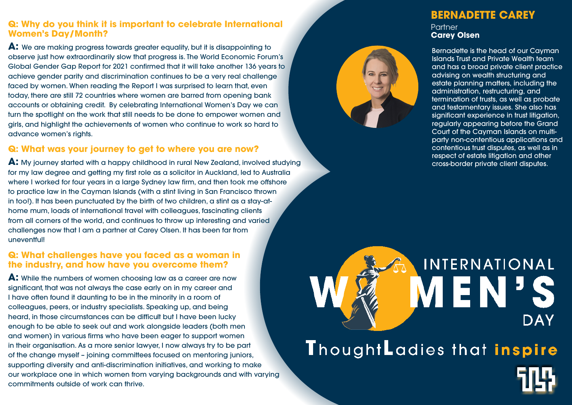### **Q: Why do you think it is important to celebrate International Women's Day/Month?**

**A:** We are making progress towards greater equality, but it is disappointing to observe just how extraordinarily slow that progress is. The World Economic Forum's Global Gender Gap Report for 2021 confirmed that it will take another 136 years to achieve gender parity and discrimination continues to be a very real challenge faced by women. When reading the Report I was surprised to learn that, even today, there are still 72 countries where women are barred from opening bank accounts or obtaining credit. By celebrating International Women's Day we can turn the spotlight on the work that still needs to be done to empower women and girls, and highlight the achievements of women who continue to work so hard to advance women's rights.

# **Q: What was your journey to get to where you are now?**

**A:** My journey started with a happy childhood in rural New Zealand, involved studying for my law degree and getting my first role as a solicitor in Auckland, led to Australia where I worked for four years in a large Sydney law firm, and then took me offshore to practice law in the Cayman Islands (with a stint living in San Francisco thrown in too!). It has been punctuated by the birth of two children, a stint as a stay-athome mum, loads of international travel with colleagues, fascinating clients from all corners of the world, and continues to throw up interesting and varied challenges now that I am a partner at Carey Olsen. It has been far from uneventful!

**Partner Carey Olsen**

#### **Q: What challenges have you faced as a woman in the industry, and how have you overcome them?**

**A:** While the numbers of women choosing law as a career are now significant, that was not always the case early on in my career and I have often found it daunting to be in the minority in a room of colleagues, peers, or industry specialists. Speaking up, and being heard, in those circumstances can be difficult but I have been lucky enough to be able to seek out and work alongside leaders (both men and women) in various firms who have been eager to support women in their organisation. As a more senior lawyer, I now always try to be part of the change myself – joining committees focused on mentoring juniors, supporting diversity and anti-discrimination initiatives, and working to make our workplace one in which women from varying backgrounds and with varying commitments outside of work can thrive.

# INTERNATIONAL **ALEINI DAY** ThoughtLadies that inspire

# **BERNADETTE CAREY**

Bernadette is the head of our Cayman Islands Trust and Private Wealth team and has a broad private client practice advising on wealth structuring and estate planning matters, including the administration, restructuring, and termination of trusts, as well as probate and testamentary issues. She also has significant experience in trust litigation, regularly appearing before the Grand Court of the Cayman Islands on multiparty non-contentious applications and contentious trust disputes, as well as in respect of estate litigation and other cross-border private client disputes.